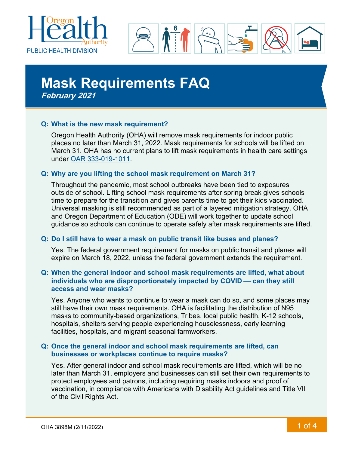



# **Mask Requirements FAQ February 2021**

## **Q: What is the new mask requirement?**

Oregon Health Authority (OHA) will remove mask requirements for indoor public places no later than March 31, 2022. Mask requirements for schools will be lifted on March 31. OHA has no current plans to lift mask requirements in health care settings under [OAR 333-019-1011.](https://secure.sos.state.or.us/oard/viewSingleRule.action?ruleVrsnRsn=286317)

## **Q: Why are you lifting the school mask requirement on March 31?**

Throughout the pandemic, most school outbreaks have been tied to exposures outside of school. Lifting school mask requirements after spring break gives schools time to prepare for the transition and gives parents time to get their kids vaccinated. Universal masking is still recommended as part of a layered mitigation strategy. OHA and Oregon Department of Education (ODE) will work together to update school guidance so schools can continue to operate safely after mask requirements are lifted.

## **Q: Do I still have to wear a mask on public transit like buses and planes?**

Yes. The federal government requirement for masks on public transit and planes will expire on March 18, 2022, unless the federal government extends the requirement.

## **Q: When the general indoor and school mask requirements are lifted, what about**  individuals who are disproportionately impacted by COVID — can they still **access and wear masks?**

Yes. Anyone who wants to continue to wear a mask can do so, and some places may still have their own mask requirements. OHA is facilitating the distribution of N95 masks to community-based organizations, Tribes, local public health, K-12 schools, hospitals, shelters serving people experiencing houselessness, early learning facilities, hospitals, and migrant seasonal farmworkers.

## **Q: Once the general indoor and school mask requirements are lifted, can businesses or workplaces continue to require masks?**

Yes. After general indoor and school mask requirements are lifted, which will be no later than March 31, employers and businesses can still set their own requirements to protect employees and patrons, including requiring masks indoors and proof of vaccination, in compliance with Americans with Disability Act guidelines and Title VII of the Civil Rights Act.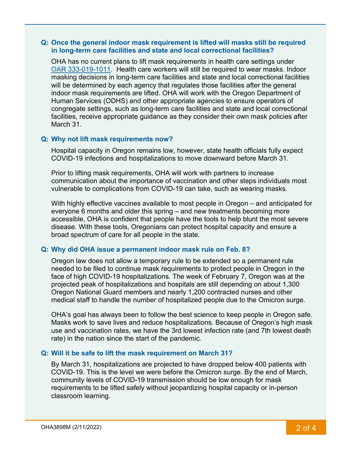## **Q: Once the general indoor mask requirement is lifted will masks still be required in long-term care facilities and state and local correctional facilities?**

OHA has no current plans to lift mask requirements in health care settings under [OAR 333-019-1011.](https://secure.sos.state.or.us/oard/viewSingleRule.action?ruleVrsnRsn=286317) Health care workers will still be required to wear masks. Indoor masking decisions in long-term care facilities and state and local correctional facilities will be determined by each agency that regulates those facilities after the general indoor mask requirements are lifted. OHA will work with the Oregon Department of Human Services (ODHS) and other appropriate agencies to ensure operators of congregate settings, such as long-term care facilities and state and local correctional facilities, receive appropriate guidance as they consider their own mask policies after March 31.

## **Q: Why not lift mask requirements now?**

Hospital capacity in Oregon remains low, however, state health officials fully expect COVID-19 infections and hospitalizations to move downward before March 31.

Prior to lifting mask requirements, OHA will work with partners to increase communication about the importance of vaccination and other steps individuals most vulnerable to complications from COVID-19 can take, such as wearing masks.

With highly effective vaccines available to most people in Oregon – and anticipated for everyone 6 months and older this spring – and new treatments becoming more accessible, OHA is confident that people have the tools to help blunt the most severe disease. With these tools, Oregonians can protect hospital capacity and ensure a broad spectrum of care for all people in the state.

## **Q: Why did OHA issue a permanent indoor mask rule on Feb. 8?**

Oregon law does not allow a temporary rule to be extended so a permanent rule needed to be filed to continue mask requirements to protect people in Oregon in the face of high COVID-19 hospitalizations. The week of February 7, Oregon was at the projected peak of hospitalizations and hospitals are still depending on about 1,300 Oregon National Guard members and nearly 1,200 contracted nurses and other medical staff to handle the number of hospitalized people due to the Omicron surge.

OHA's goal has always been to follow the best science to keep people in Oregon safe. Masks work to save lives and reduce hospitalizations. Because of Oregon's high mask use and vaccination rates, we have the 3rd lowest infection rate (and 7th lowest death rate) in the nation since the start of the pandemic.

#### **Q: Will it be safe to lift the mask requirement on March 31?**

By March 31, hospitalizations are projected to have dropped below 400 patients with COVID-19. This is the level we were before the Omicron surge. By the end of March, community levels of COVID-19 transmission should be low enough for mask requirements to be lifted safely without jeopardizing hospital capacity or in-person classroom learning.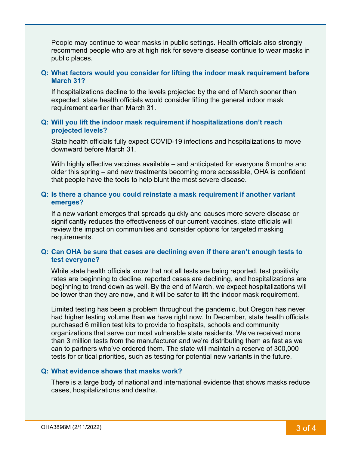People may continue to wear masks in public settings. Health officials also strongly recommend people who are at high risk for severe disease continue to wear masks in public places.

## **Q: What factors would you consider for lifting the indoor mask requirement before March 31?**

If hospitalizations decline to the levels projected by the end of March sooner than expected, state health officials would consider lifting the general indoor mask requirement earlier than March 31.

## **Q: Will you lift the indoor mask requirement if hospitalizations don't reach projected levels?**

State health officials fully expect COVID-19 infections and hospitalizations to move downward before March 31.

With highly effective vaccines available – and anticipated for everyone 6 months and older this spring – and new treatments becoming more accessible, OHA is confident that people have the tools to help blunt the most severe disease.

## **Q: Is there a chance you could reinstate a mask requirement if another variant emerges?**

If a new variant emerges that spreads quickly and causes more severe disease or significantly reduces the effectiveness of our current vaccines, state officials will review the impact on communities and consider options for targeted masking requirements.

## **Q: Can OHA be sure that cases are declining even if there aren't enough tests to test everyone?**

While state health officials know that not all tests are being reported, test positivity rates are beginning to decline, reported cases are declining, and hospitalizations are beginning to trend down as well. By the end of March, we expect hospitalizations will be lower than they are now, and it will be safer to lift the indoor mask requirement.

Limited testing has been a problem throughout the pandemic, but Oregon has never had higher testing volume than we have right now. In December, state health officials purchased 6 million test kits to provide to hospitals, schools and community organizations that serve our most vulnerable state residents. We've received more than 3 million tests from the manufacturer and we're distributing them as fast as we can to partners who've ordered them. The state will maintain a reserve of 300,000 tests for critical priorities, such as testing for potential new variants in the future.

## **Q: What evidence shows that masks work?**

There is a large body of national and international evidence that shows masks reduce cases, hospitalizations and deaths.